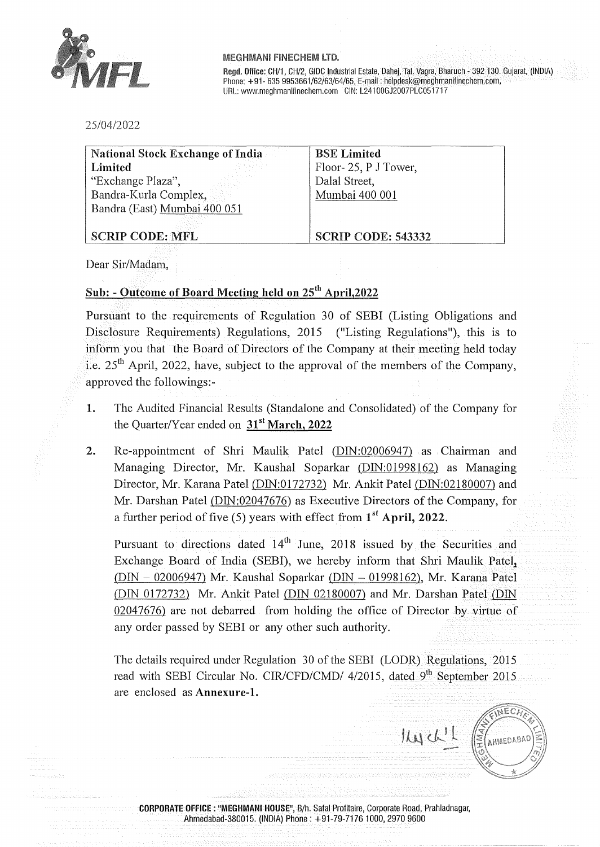

**Regd. Office:** CH/1, CH/2, GIDC Industrial Estate, Dahej, Tai. Vagra, Bharuch - 392 130. Gujarat, (INDIA) Phone: +91- 635 9953661/62/63/64/65, E-mail: helpdesk@meghmanifinechem.com, URL: www.meghmanifinechem.com CIN: L24100GJ2007PLC051717

25/04/2022

| <b>National Stock Exchange of India.</b> | <b>BSE</b> Limited        |
|------------------------------------------|---------------------------|
| Limited                                  | Floor-25, P J Tower,      |
| "Exchange Plaza",                        | Dalal Street,             |
| Bandra-Kurla Complex,                    | Mumbai 400 001            |
| Bandra (East) Mumbai 400 051             |                           |
|                                          |                           |
| <b>SCRIP CODE: MFL</b>                   | <b>SCRIP CODE: 543332</b> |

Dear Sir/Madam,

### **Sub:** - **Outcome of Board Meeting held on** 25th **April,2022**

Pursuant to the requirements of Regulation 30 of SEBI (Listing Obligations and Disclosure Requirements) Regulations, 2015 ("Listing Regulations"), this is to inform you that the Board of Directors of the Company at their meeting held today i.e.  $25<sup>th</sup>$  April, 2022, have, subject to the approval of the members of the Company, approved the followings:-

- **1.** The Audited Financial Results (Standalone and Consolidated) of the Company for the Quarter/Year ended on **31 st March, 2022**
- 2. Re-appointment of Shri Maulik Patel (DIN:02006947) as Chairman and Managing Director, Mr. Kaushal Soparkar (DIN:01998162) as Managing Director, Mr. Karana Patel (DIN:0172732) Mr. Ankit Patel (DIN:02180007) and Mr. Darshan Patel (DIN:02047676) as Executive Directors of the Company, for a further period of five (5) years with effect from **1st April,** 2022.

Pursuant to directions dated  $14<sup>th</sup>$  June, 2018 issued by the Securities and Exchange Board of India (SEBI), we hereby inform that Shri Maulik Patel, (DIN - 02006947) Mr. Kaushal Soparkar {DIN - 01998162), Mr. Karana Patel (DIN 0172732) Mr. Ankit Patel (DIN 02180007) and Mr. Darshan Patel {DIN 02047676) are not debarred from holding the office of Director by virtue of any order passed by SEBI or any other such authority.

The details required under Regulation 30 of the SEBI (LODR) Regulations, 2015 read with SEBI Circular No. CIR/CFD/CMD/ 4/2015, dated 9<sup>th</sup> September 2015 are enclosed as **Annexure-1.** 

NECA  $IMW^1$ AHMEDABAD

**CORPORATE OFFICE** : **"MEGHMANI HOUSE",** B/h. Safal Profitaire, Corporate Road, Prahladnagar, Ahmedabad-380015. (INDIA) Phone: +91-79-71761000, 2970 9600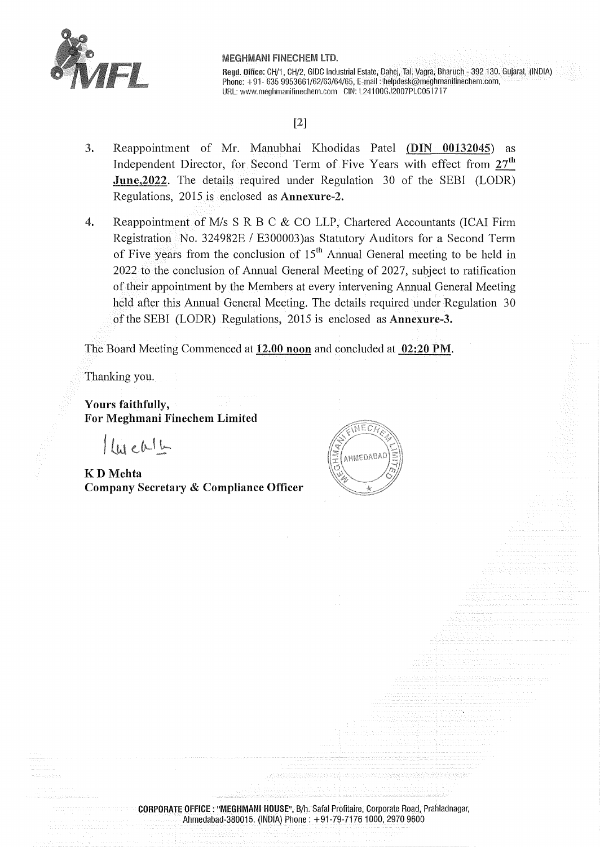

**Regd. Office:** CH/1, CH/2, GIDC Industrial Estate, Dahej, Tai. Vagra, Bharuch - 392 130. Gujarat, (INDIA) Phone: +91- 635 9953661/62/63/64/65, E-mail: helpdesk@meghmanifinechem.com, URL: www.meghmanifinechem.com CIN: L24100GJ2007PLC051717

# [2]

- 3. Reappointment of Mr. Manubhai Khodidas Patel (DIN **00132045)** as Independent Director, for Second Term of Five Years with effect from 27<sup>th</sup> **June, 2022.** The details required under Regulation 30 of the SEBI (LODR) Regulations, 2015 is enclosed as **Annexure-2.**
- 4. Reappointment of M/s S R B C & CO LLP, Chartered Accountants (ICAI Firm Registration No. 324982E / E300003) as Statutory Auditors for a Second Term of Five years from the conclusion of  $15<sup>th</sup>$  Annual General meeting to be held in 2022 to the conclusion of Annual General Meeting of 2027, subject to ratification of their appointment by the Members at every intervening Annual General Meeting held after this Annual General Meeting. The details required under Regulation 30 of the SEBI (LODR) Regulations, 2015 is enclosed as **Annexure-3.**

The Board Meeting Commenced at **12.00 noon** and concluded at **02:20 PM.** 

Thanking you.

**Yours faithfully, For Meghmani Finechem Limited** 

 $luelb$ 

**KD Mehta Company Secretary** & **Compliance Officer** 



**CORPORATE OFFICE** : **"MEGHMANI HOUSE",** B/h. Safal Profitaire, Corporate Road, Prahladnagar, Ahmedabad-380015. (INDIA) Phone: +91-79-7176 1000, 2970 9600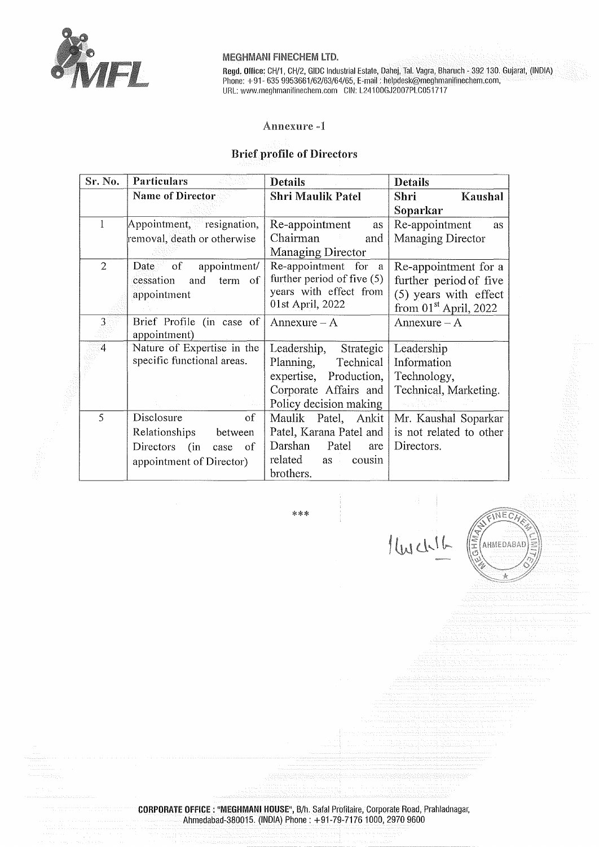

**Regd. Ollice:** CH/1, CH/2, GIDC Industrial Estate, Dahej, Tai. Vagra, Bharuch - 392 130. Gujarat, (INDIA} Phone: +91- 635 9953661/62/63/64/65, E-mail : helpdesl<@meghmanifinechem.com, URL: www.meghmanifinechem.com GIN: L241 00GJ2007PLC051717

#### Annexure

# **Brief profile of Directors**

| Sr. No.        | Particulars                     | <b>Details</b>                       | <b>Details</b>          |
|----------------|---------------------------------|--------------------------------------|-------------------------|
|                | <b>Name of Director</b>         | <b>Shri Maulik Patel</b>             | Shri<br>Kaushal         |
|                |                                 |                                      | Soparkar                |
| Ť              | Appointment, resignation,       | Re-appointment<br>as                 | Re-appointment<br>as    |
|                | removal, death or otherwise     | Chairman<br>and                      | Managing Director       |
|                |                                 | <b>Managing Director</b>             |                         |
| $\overline{2}$ | of<br>appointment/<br>Date      | Re-appointment for<br><sub>a</sub>   | Re-appointment for a    |
|                | cessation<br>and<br>term of     | further period of five (5)           | further period of five  |
|                | appointment                     | years with effect from               | $(5)$ years with effect |
|                |                                 | 01st April, 2022                     | from $01st$ April, 2022 |
| 3              | Brief Profile (in case of       | Annexure $- A$                       | $Amexure - A$           |
|                | appointment)                    |                                      |                         |
| $\overline{4}$ | Nature of Expertise in the      | Leadership, Strategic                | Leadership              |
|                | specific functional areas.      | Planning, Technical                  | Information             |
|                |                                 | expertise, Production,               | Technology,             |
|                |                                 | Corporate Affairs and                | Technical, Marketing.   |
|                |                                 | Policy decision making               |                         |
| 5              | Disclosure<br>of                | Maulik Patel, Ankit                  | Mr. Kaushal Soparkar    |
|                | Relationships<br>between        | Patel, Karana Patel and              | is not related to other |
|                | Directors<br>(in)<br>οf<br>case | Darshan<br>Patel<br>are              | Directors.              |
|                | appointment of Director)        | related<br>cousin<br>as<br>$\bar{z}$ |                         |
|                |                                 | brothers.                            |                         |

\*\*\*

EINECT

AHMEDABAD

1 Well

**CORPORATE OFFICE** : **"MEGHMANI HOUSE",** B/h. Safa! Profitaire, Corporate Road, Prahladnagar, Ahmedabad-380015. (INDIA) Phone: +91-79-71761000, 2970 9600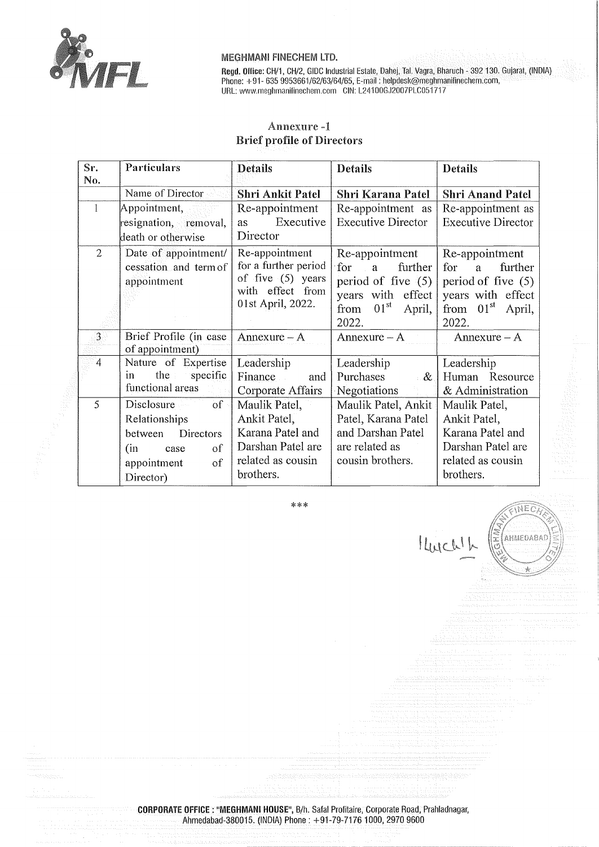

**Regd. Office:** CH/1, CH/2, GIDC Industrial Estate, Dahej, Tai. Vagra, Bharuch - 392 130. Gujarat, (INDIA) Phone: +91- 635 9953661/62/63/64/65, E-mail: helpdesk@meghmanifinechem.com, URL: www.meghmanilinechem.com GIN: L241 00GJ2007PLC05i 717

EINEO

AHMEDABAC

 $\frac{1}{2}$ 

I Lucalle

# Annexure **Brief profile of Directors**

| Sr.<br>No.     | Particulars                                                                                                            | <b>Details</b>                                                                                           | <b>Details</b>                                                                                                                      | <b>Details</b>                                                                                                        |
|----------------|------------------------------------------------------------------------------------------------------------------------|----------------------------------------------------------------------------------------------------------|-------------------------------------------------------------------------------------------------------------------------------------|-----------------------------------------------------------------------------------------------------------------------|
|                | Name of Director                                                                                                       | Shri Ankit Patel                                                                                         | Shri Karana Patel                                                                                                                   | <b>Shri Anand Patel</b>                                                                                               |
| 1              | Appointment,<br>resignation, removal,<br>death or otherwise                                                            | Re-appointment<br>Executive<br>as<br>Director                                                            | Re-appointment as<br><b>Executive Director</b>                                                                                      | Re-appointment as<br><b>Executive Director</b>                                                                        |
| $\overline{2}$ | Date of appointment/<br>cessation and term of<br>appointment                                                           | Re-appointment<br>for a further period<br>of five $(5)$ years<br>with effect from<br>01st April, 2022.   | Re-appointment<br>for<br>further<br>a<br>period of five $(5)$ .<br>years with effect<br>01 <sup>st</sup><br>from<br>April,<br>2022. | Re-appointment<br>for<br>further<br>a.<br>period of five $(5)$<br>years with effect<br>from $01st$<br>April,<br>2022. |
| 3 <sup>1</sup> | Brief Profile (in case<br>of appointment)                                                                              | Annexure $- A$                                                                                           | $Annexure - A$                                                                                                                      | $Annexure - A$                                                                                                        |
| $\overline{4}$ | Nature of Expertise<br>the $\pm$<br>specific<br>in<br>functional areas                                                 | Leadership<br>Finance<br>and<br>Corporate Affairs                                                        | Leadership<br>Purchases<br>$-\&$<br>Negotiations                                                                                    | Leadership<br>Human Resource<br>& Administration                                                                      |
| 5              | $\sigma$<br>Disclosure<br>Relationships<br>Directors<br>between<br>(in<br>οf<br>case<br>of<br>appointment<br>Director) | Maulik Patel,<br>Ankit Patel,<br>Karana Patel and<br>Darshan Patel are<br>related as cousin<br>brothers. | Maulik Patel, Ankit<br>Patel, Karana Patel<br>and Darshan Patel<br>are related as<br>cousin brothers.                               | Maulik Patel,<br>Ankit Patel,<br>Karana Patel and<br>Darshan Patel are<br>related as cousin<br>brothers.              |

\*\*\*

**CORPORATE OFFICE** : **"MEGHMANI HOUSE",** B/h. Safa! Profitaire, Corporate Road, Prahladnagar, Ahmedabad-380015. (INDIA) Phone: +91-79-71761000, 2970 9600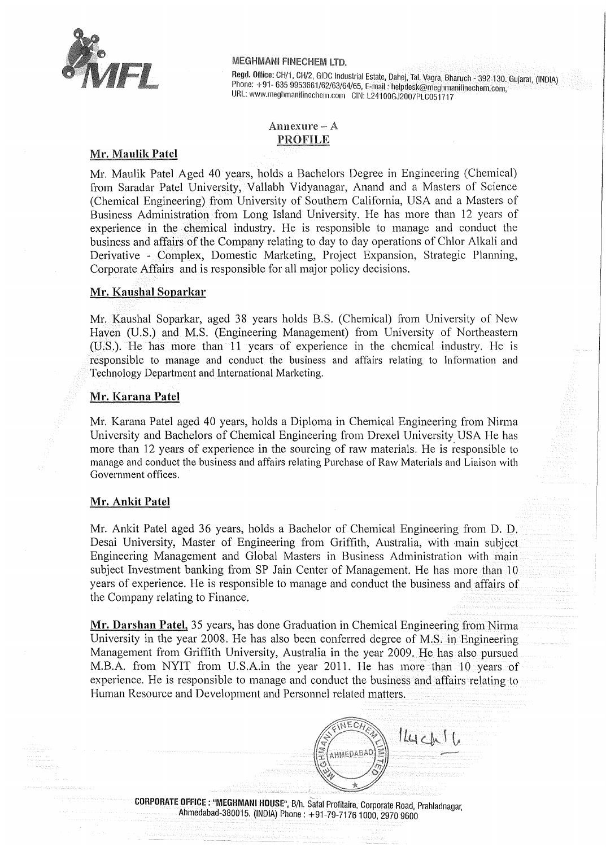

Regd. Office: CH/1, CH/2, GIDC Industrial Estate, Dahej, Tal. Vagra, Bharuch - 392 130. Gujarat, (INDIA) Phone. +91- 635 9953661/62/63/64/65, E-mail: helpdesk@meghmanifinechem.com URL: www.meghmanifinechem.com GIN: L24100GJ2007PLC051717 '

# Annexure-A PROFILE

# **Mr. Maulik Patel**

Mr. Maulik Patel Aged 40 years, holds a Bachelors Degree in Engineering (Chemical) from Saradar Patel University, Vallabh Vidyanagar, Anand and a Masters of Science (Chemical Engineering) from University of Southern California, USA and a Masters of Business Administration from Long Island University. He has more than 12 years of experience in the chemical industry. He is responsible to manage and conduct the business and affairs of the Company relating to day to day operations of Chlor Alkali and Derivative - Complex, Domestic Marketing, Project Expansion, Strategic Planning, Corporate Affairs and is responsible for all major policy decisions.

# **Mr. Kaushal Soparkar**

Mr. Kaushal Soparkar, aged 38 years holds B.S. (Chemical) from University of New Haven (U.S.) and M.S. (Engineering Management) from University of Northeastern (U.S.). He has more than 11 years of experience in the chemical industry. He is responsible to manage and conduct the business and affairs relating to Information and Technology Department and International Marketing.

### **Mr. Karana Patel**

Mr. Karana Patel aged 40 years, holds a Diploma in Chemical Engineering from Nirma University and Bachelors of Chemical Engineering from Drexel University USA He has more than 12 years of experience in the sourcing of raw materials. He is responsible to manage and conduct the business and affairs relating Purchase of Raw Materials and Liaison with Government offices.

# **Mr. Ankit Patel**

Mr. Ankit Patel aged 36 years, holds a Bachelor of Chemical Engineering from D. D. Desai University, Master of Engineering from Griffith, Australia, with -main subject Engineering Management and Global Masters in Business Administration with main subject Investment banking from SP Jain Center of Management. He has more than 10 years of experience. He is responsible to manage and conduct the business and affairs of the Company relating to Finance.

**Mr. Darshan Patel,** 35 years, has done Graduation in Chemical Engineering from Nirma University in the year 2008. He has also been conferred degree of M.S. in Engineering Management from Griffith University, Australia in the year 2009. He has also pursued M.B.A. from NYIT from U.S.A.in the year 2011. He has more than 10 years of experience. He is responsible to manage and conduct the business and affairs relating to Human Resource and Development and Personnel related matters.

NECA

AHMEDABAD

 $144$ ch $16$ 

**CORPORATE OFFICE** : **"MEGHMANI HOUSE",** B/h. Safal Profitaire, Corporate Road, Prahladnagar, Ahmedabad-380015. (INDIA) Phone: +91-79-71761000, 2970 9600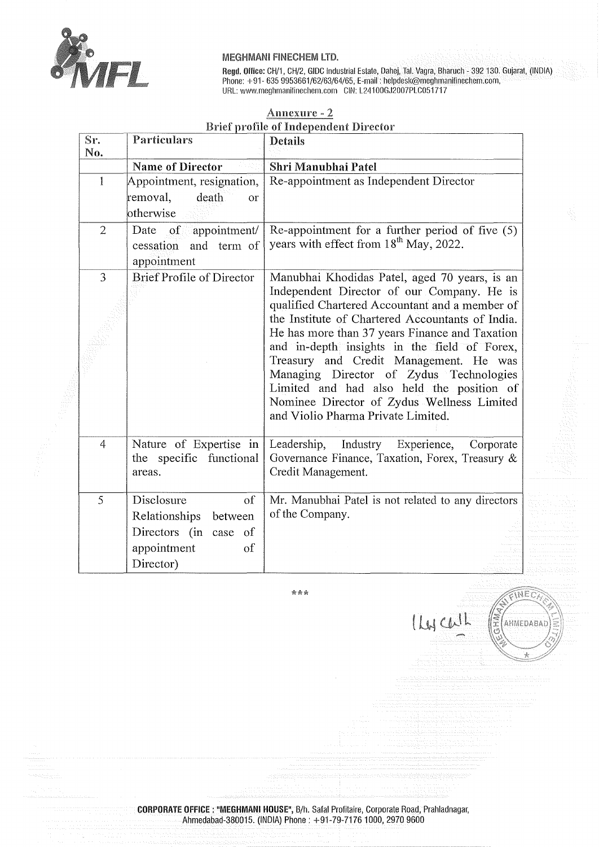

Regd. Office: CH/1, CH/2, GIDC Industrial Estate, Dahej, Tai. Vagra, Bharuch - 392 130. Gujarat, (!NOIA) Phone: +91- 635 9953661/62/63/64/65, E-mail: helpdesk@meghmanifinechem.com, URL: www.meghmanifinechem.com CIN: L24100GJ2007PLC051717

# Anncxurc - 2 Brief profile of Independent Director

| Sr.            | <b>Particulars</b>                                                                                      | Details                                                                                                                                                                                                                                                                                                                                                                                                                                                                                                                   |
|----------------|---------------------------------------------------------------------------------------------------------|---------------------------------------------------------------------------------------------------------------------------------------------------------------------------------------------------------------------------------------------------------------------------------------------------------------------------------------------------------------------------------------------------------------------------------------------------------------------------------------------------------------------------|
| No.            | <b>Name of Director</b>                                                                                 | Shri Manubhai Patel                                                                                                                                                                                                                                                                                                                                                                                                                                                                                                       |
| $\mathbf{1}$   | Appointment, resignation,<br>death<br>removal,<br><b>or</b><br>otherwise                                | Re-appointment as Independent Director                                                                                                                                                                                                                                                                                                                                                                                                                                                                                    |
| $\overline{2}$ | Date<br>$\overline{\text{of}}$<br>appointment/<br>and term of<br>cessation<br>appointment               | Re-appointment for a further period of five $(5)$<br>years with effect from 18 <sup>th</sup> May, 2022.                                                                                                                                                                                                                                                                                                                                                                                                                   |
| 3              | <b>Brief Profile of Director</b>                                                                        | Manubhai Khodidas Patel, aged 70 years, is an<br>Independent Director of our Company. He is<br>qualified Chartered Accountant and a member of<br>the Institute of Chartered Accountants of India.<br>He has more than 37 years Finance and Taxation<br>and in-depth insights in the field of Forex,<br>Treasury and Credit Management. He was<br>Managing Director of Zydus Technologies<br>Limited and had also held the position of<br>Nominee Director of Zydus Wellness Limited<br>and Violio Pharma Private Limited. |
| $\overline{4}$ | Nature of Expertise in<br>the specific functional<br>areas.                                             | Leadership,<br>Industry Experience,<br>Corporate<br>Governance Finance, Taxation, Forex, Treasury &<br>Credit Management.                                                                                                                                                                                                                                                                                                                                                                                                 |
| 5              | Disclosure<br>of<br>Relationships<br>between<br>Directors (in case of<br>appointment<br>of<br>Director) | Mr. Manubhai Patel is not related to any directors<br>of the Company.                                                                                                                                                                                                                                                                                                                                                                                                                                                     |

\*\*\*

lycall



**CORPORATE OFFICE** : **"MEGHMANI HOUSE",** B/h. Safa! Profitaire, Corporate Road, Prahladnagar, Ahmedabad-380015. (INDIA) Phone: +91-79-71761000, 2970 9600